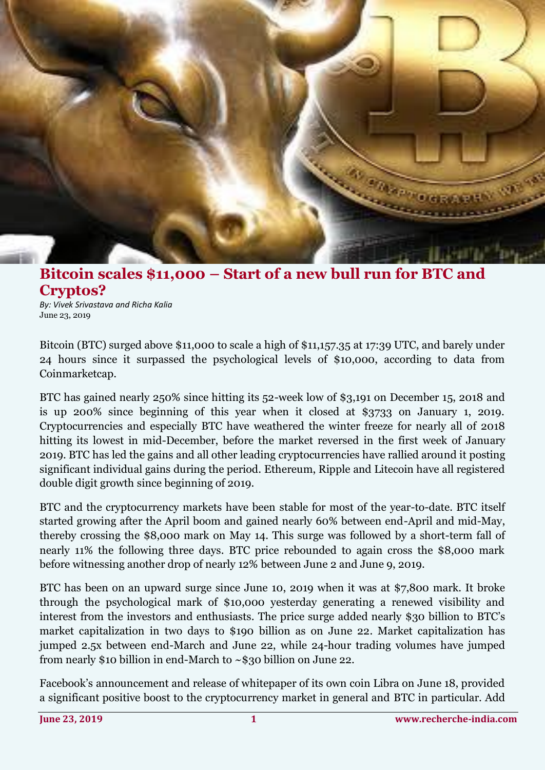

## **Bitcoin scales \$11,000 – Start of a new bull run for BTC and Cryptos?**

*By: Vivek Srivastava and Richa Kalia* June 23, 2019

Bitcoin (BTC) surged above \$11,000 to scale a high of \$11,157.35 at 17:39 UTC, and barely under 24 hours since it surpassed the psychological levels of \$10,000, according to data from Coinmarketcap.

BTC has gained nearly 250% since hitting its 52-week low of \$3,191 on December 15, 2018 and is up 200% since beginning of this year when it closed at \$3733 on January 1, 2019. Cryptocurrencies and especially BTC have weathered the winter freeze for nearly all of 2018 hitting its lowest in mid-December, before the market reversed in the first week of January 2019. BTC has led the gains and all other leading cryptocurrencies have rallied around it posting significant individual gains during the period. Ethereum, Ripple and Litecoin have all registered double digit growth since beginning of 2019.

BTC and the cryptocurrency markets have been stable for most of the year-to-date. BTC itself started growing after the April boom and gained nearly 60% between end-April and mid-May, thereby crossing the \$8,000 mark on May 14. This surge was followed by a short-term fall of nearly 11% the following three days. BTC price rebounded to again cross the \$8,000 mark before witnessing another drop of nearly 12% between June 2 and June 9, 2019.

BTC has been on an upward surge since June 10, 2019 when it was at \$7,800 mark. It broke through the psychological mark of \$10,000 yesterday generating a renewed visibility and interest from the investors and enthusiasts. The price surge added nearly \$30 billion to BTC's market capitalization in two days to \$190 billion as on June 22. Market capitalization has jumped 2.5x between end-March and June 22, while 24-hour trading volumes have jumped from nearly \$10 billion in end-March to ~\$30 billion on June 22.

Facebook's announcement and release of whitepaper of its own coin Libra on June 18, provided a significant positive boost to the cryptocurrency market in general and BTC in particular. Add